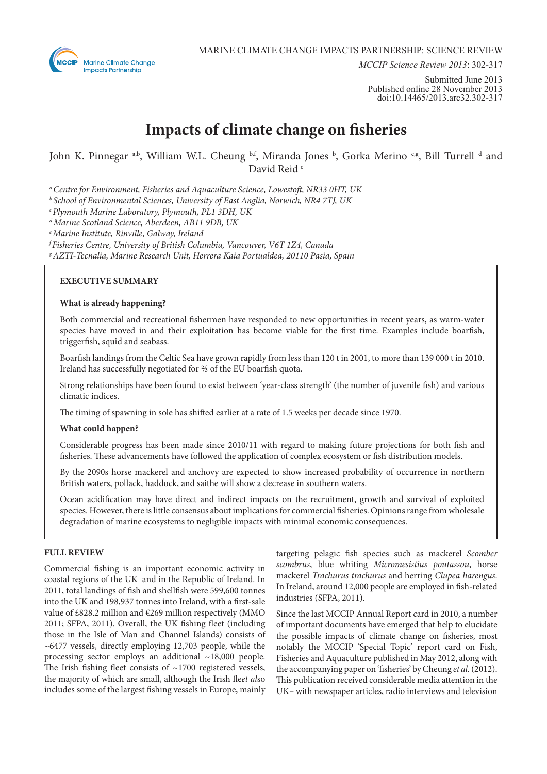

*MCCIP Science Review 2013*: 302-317

Submitted June 2013 Published online 28 November 2013 doi:10.14465/2013.arc32.302-317

# **Impacts of climate change on fisheries**

John K. Pinnegar a,b, William W.L. Cheung b,f, Miranda Jones b, Gorka Merino <sup>c,g</sup>, Bill Turrell <sup>d</sup> and David Reid e

*a Centre for Environment, Fisheries and Aquaculture Science, Lowestoft, NR33 0HT, UK*

*b School of Environmental Sciences, University of East Anglia, Norwich, NR4 7TJ, UK*

*c Plymouth Marine Laboratory, Plymouth, PL1 3DH, UK*

*d Marine Scotland Science, Aberdeen, AB11 9DB, UK*

*e Marine Institute, Rinville, Galway, Ireland*

*f Fisheries Centre, University of British Columbia, Vancouver, V6T 1Z4, Canada*

*g AZTI-Tecnalia, Marine Research Unit, Herrera Kaia Portualdea, 20110 Pasia, Spain*

# **EXECUTIVE SUMMARY**

## **What is already happening?**

Both commercial and recreational fishermen have responded to new opportunities in recent years, as warm-water species have moved in and their exploitation has become viable for the first time. Examples include boarfish, triggerfish, squid and seabass.

Boarfish landings from the Celtic Sea have grown rapidly from less than 120 t in 2001, to more than 139 000 t in 2010. Ireland has successfully negotiated for ⅔ of the EU boarfish quota.

Strong relationships have been found to exist between 'year-class strength' (the number of juvenile fish) and various climatic indices.

The timing of spawning in sole has shifted earlier at a rate of 1.5 weeks per decade since 1970.

## **What could happen?**

Considerable progress has been made since 2010/11 with regard to making future projections for both fish and fisheries. These advancements have followed the application of complex ecosystem or fish distribution models.

By the 2090s horse mackerel and anchovy are expected to show increased probability of occurrence in northern British waters, pollack, haddock, and saithe will show a decrease in southern waters.

Ocean acidification may have direct and indirect impacts on the recruitment, growth and survival of exploited species. However, there is little consensus about implications for commercial fisheries. Opinions range from wholesale degradation of marine ecosystems to negligible impacts with minimal economic consequences.

# **FULL REVIEW**

Commercial fishing is an important economic activity in coastal regions of the UK and in the Republic of Ireland. In 2011, total landings of fish and shellfish were 599,600 tonnes into the UK and 198,937 tonnes into Ireland, with a first-sale value of £828.2 million and €269 million respectively (MMO 2011; SFPA, 2011). Overall, the UK fishing fleet (including those in the Isle of Man and Channel Islands) consists of ~6477 vessels, directly employing 12,703 people, while the processing sector employs an additional ~18,000 people. The Irish fishing fleet consists of  $\sim$ 1700 registered vessels, the majority of which are small, although the Irish fle*et al*so includes some of the largest fishing vessels in Europe, mainly

targeting pelagic fish species such as mackerel *Scomber scombrus*, blue whiting *Micromesistius poutassou*, horse mackerel *Trachurus trachurus* and herring *Clupea harengus*. In Ireland, around 12,000 people are employed in fish-related industries (SFPA, 2011).

Since the last MCCIP Annual Report card in 2010, a number of important documents have emerged that help to elucidate the possible impacts of climate change on fisheries, most notably the MCCIP 'Special Topic' report card on Fish, Fisheries and Aquaculture published in May 2012, along with the accompanying paper on 'fisheries' by Cheung *et al.* (2012). This publication received considerable media attention in the UK– with newspaper articles, radio interviews and television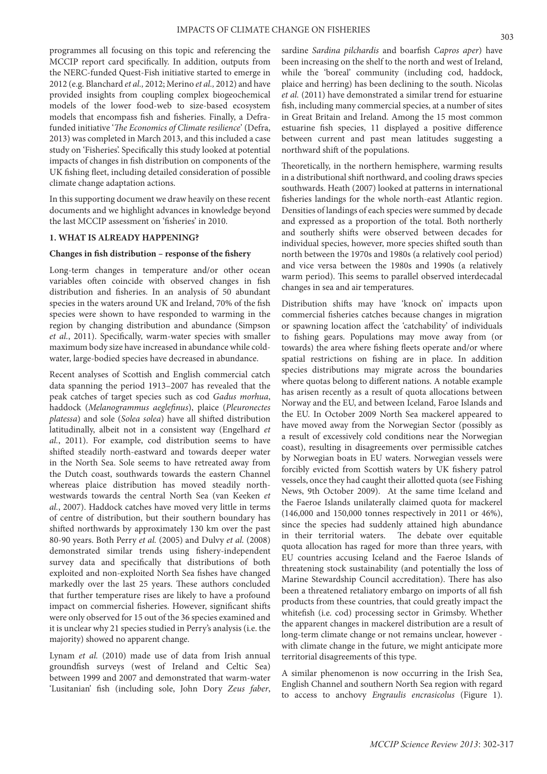programmes all focusing on this topic and referencing the MCCIP report card specifically. In addition, outputs from the NERC-funded Quest-Fish initiative started to emerge in 2012 (e.g. Blanchard *et al.,* 2012; Merino *et al.,* 2012) and have provided insights from coupling complex biogeochemical models of the lower food-web to size-based ecosystem models that encompass fish and fisheries. Finally, a Defrafunded initiative '*The Economics of Climate resilience*' (Defra, 2013) was completed in March 2013, and this included a case study on 'Fisheries'. Specifically this study looked at potential impacts of changes in fish distribution on components of the UK fishing fleet, including detailed consideration of possible climate change adaptation actions.

In this supporting document we draw heavily on these recent documents and we highlight advances in knowledge beyond the last MCCIP assessment on 'fisheries' in 2010.

# **1. WHAT IS ALREADY HAPPENING?**

#### **Changes in fish distribution – response of the fishery**

Long-term changes in temperature and/or other ocean variables often coincide with observed changes in fish distribution and fisheries. In an analysis of 50 abundant species in the waters around UK and Ireland, 70% of the fish species were shown to have responded to warming in the region by changing distribution and abundance (Simpson *et al.*, 2011). Specifically, warm-water species with smaller maximum body size have increased in abundance while coldwater, large-bodied species have decreased in abundance.

Recent analyses of Scottish and English commercial catch data spanning the period 1913–2007 has revealed that the peak catches of target species such as cod *Gadus morhua*, haddock (*Melanogrammus aeglefinus*), plaice (*Pleuronectes platessa*) and sole (*Solea solea*) have all shifted distribution latitudinally, albeit not in a consistent way (Engelhard *et al.*, 2011). For example, cod distribution seems to have shifted steadily north-eastward and towards deeper water in the North Sea. Sole seems to have retreated away from the Dutch coast, southwards towards the eastern Channel whereas plaice distribution has moved steadily northwestwards towards the central North Sea (van Keeken *et al.*, 2007). Haddock catches have moved very little in terms of centre of distribution, but their southern boundary has shifted northwards by approximately 130 km over the past 80-90 years. Both Perry *et al.* (2005) and Dulvy *et al.* (2008) demonstrated similar trends using fishery-independent survey data and specifically that distributions of both exploited and non-exploited North Sea fishes have changed markedly over the last 25 years. These authors concluded that further temperature rises are likely to have a profound impact on commercial fisheries. However, significant shifts were only observed for 15 out of the 36 species examined and it is unclear why 21 species studied in Perry's analysis (i.e. the majority) showed no apparent change.

Lynam *et al.* (2010) made use of data from Irish annual groundfish surveys (west of Ireland and Celtic Sea) between 1999 and 2007 and demonstrated that warm-water 'Lusitanian' fish (including sole, John Dory *Zeus faber*,

sardine *Sardina pilchardis* and boarfish *Capros aper*) have been increasing on the shelf to the north and west of Ireland, while the 'boreal' community (including cod, haddock, plaice and herring) has been declining to the south. Nicolas *et al.* (2011) have demonstrated a similar trend for estuarine fish, including many commercial species, at a number of sites in Great Britain and Ireland. Among the 15 most common estuarine fish species, 11 displayed a positive difference between current and past mean latitudes suggesting a northward shift of the populations.

Theoretically, in the northern hemisphere, warming results in a distributional shift northward, and cooling draws species southwards. Heath (2007) looked at patterns in international fisheries landings for the whole north-east Atlantic region. Densities of landings of each species were summed by decade and expressed as a proportion of the total. Both northerly and southerly shifts were observed between decades for individual species, however, more species shifted south than north between the 1970s and 1980s (a relatively cool period) and vice versa between the 1980s and 1990s (a relatively warm period). This seems to parallel observed interdecadal changes in sea and air temperatures.

Distribution shifts may have 'knock on' impacts upon commercial fisheries catches because changes in migration or spawning location affect the 'catchability' of individuals to fishing gears. Populations may move away from (or towards) the area where fishing fleets operate and/or where spatial restrictions on fishing are in place. In addition species distributions may migrate across the boundaries where quotas belong to different nations. A notable example has arisen recently as a result of quota allocations between Norway and the EU, and between Iceland, Faroe Islands and the EU. In October 2009 North Sea mackerel appeared to have moved away from the Norwegian Sector (possibly as a result of excessively cold conditions near the Norwegian coast), resulting in disagreements over permissible catches by Norwegian boats in EU waters. Norwegian vessels were forcibly evicted from Scottish waters by UK fishery patrol vessels, once they had caught their allotted quota (see Fishing News, 9th October 2009). At the same time Iceland and the Faeroe Islands unilaterally claimed quota for mackerel (146,000 and 150,000 tonnes respectively in 2011 or 46%), since the species had suddenly attained high abundance in their territorial waters. The debate over equitable quota allocation has raged for more than three years, with EU countries accusing Iceland and the Faeroe Islands of threatening stock sustainability (and potentially the loss of Marine Stewardship Council accreditation). There has also been a threatened retaliatory embargo on imports of all fish products from these countries, that could greatly impact the whitefish (i.e. cod) processing sector in Grimsby. Whether the apparent changes in mackerel distribution are a result of long-term climate change or not remains unclear, however with climate change in the future, we might anticipate more territorial disagreements of this type.

A similar phenomenon is now occurring in the Irish Sea, English Channel and southern North Sea region with regard to access to anchovy *Engraulis encrasicolus* (Figure 1).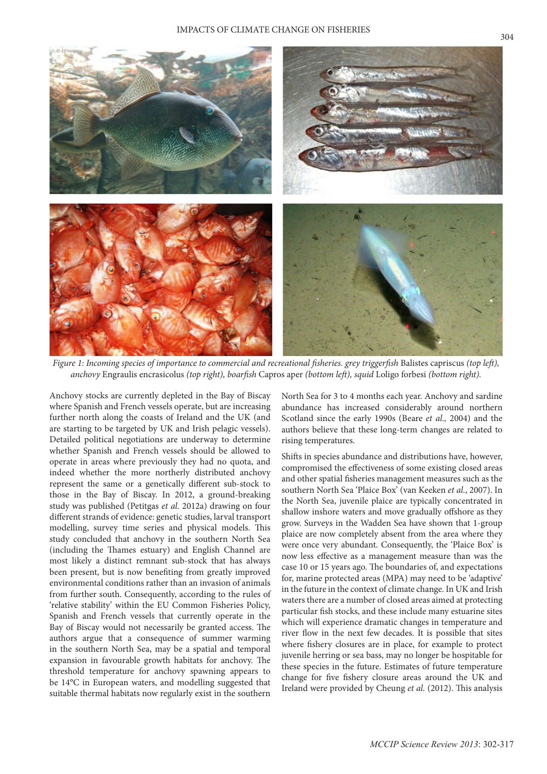

*Figure 1: Incoming species of importance to commercial and recreational fisheries. grey triggerfish Balistes capriscus (top left), anchovy* Engraulis encrasicolus *(top right), boarfish* Capros aper *(bottom left), squid* Loligo forbesi *(bottom right).*

Anchovy stocks are currently depleted in the Bay of Biscay where Spanish and French vessels operate, but are increasing further north along the coasts of Ireland and the UK (and are starting to be targeted by UK and Irish pelagic vessels). Detailed political negotiations are underway to determine whether Spanish and French vessels should be allowed to operate in areas where previously they had no quota, and indeed whether the more northerly distributed anchovy represent the same or a genetically different sub-stock to those in the Bay of Biscay. In 2012, a ground-breaking study was published (Petitgas *et al.* 2012a) drawing on four different strands of evidence: genetic studies, larval transport modelling, survey time series and physical models. This study concluded that anchovy in the southern North Sea (including the Thames estuary) and English Channel are most likely a distinct remnant sub-stock that has always been present, but is now benefiting from greatly improved environmental conditions rather than an invasion of animals from further south. Consequently, according to the rules of 'relative stability' within the EU Common Fisheries Policy, Spanish and French vessels that currently operate in the Bay of Biscay would not necessarily be granted access. The authors argue that a consequence of summer warming in the southern North Sea, may be a spatial and temporal expansion in favourable growth habitats for anchovy. The threshold temperature for anchovy spawning appears to be 14°C in European waters, and modelling suggested that suitable thermal habitats now regularly exist in the southern

North Sea for 3 to 4 months each year. Anchovy and sardine abundance has increased considerably around northern Scotland since the early 1990s (Beare *et al.,* 2004) and the authors believe that these long-term changes are related to rising temperatures.

Shifts in species abundance and distributions have, however, compromised the effectiveness of some existing closed areas and other spatial fisheries management measures such as the southern North Sea 'Plaice Box' (van Keeken *et al.*, 2007). In the North Sea, juvenile plaice are typically concentrated in shallow inshore waters and move gradually offshore as they grow. Surveys in the Wadden Sea have shown that 1-group plaice are now completely absent from the area where they were once very abundant. Consequently, the 'Plaice Box' is now less effective as a management measure than was the case 10 or 15 years ago. The boundaries of, and expectations for, marine protected areas (MPA) may need to be 'adaptive' in the future in the context of climate change. In UK and Irish waters there are a number of closed areas aimed at protecting particular fish stocks, and these include many estuarine sites which will experience dramatic changes in temperature and river flow in the next few decades. It is possible that sites where fishery closures are in place, for example to protect juvenile herring or sea bass, may no longer be hospitable for these species in the future. Estimates of future temperature change for five fishery closure areas around the UK and Ireland were provided by Cheung *et al.* (2012). This analysis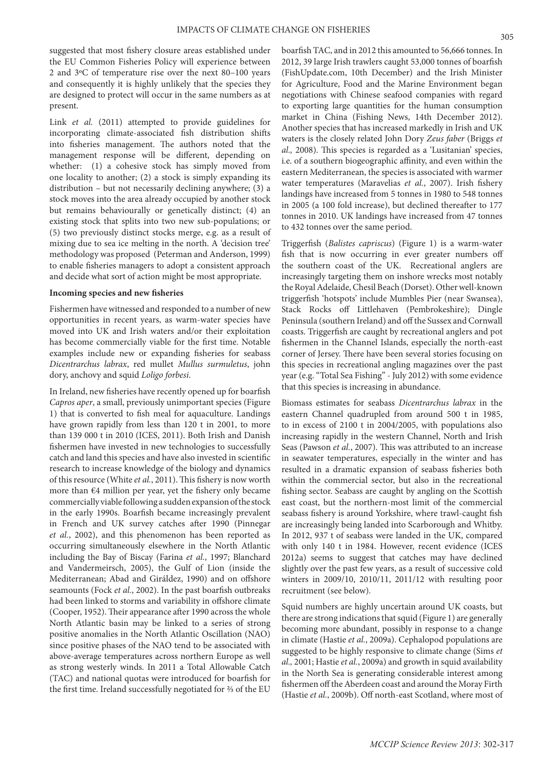suggested that most fishery closure areas established under the EU Common Fisheries Policy will experience between 2 and 3ºC of temperature rise over the next 80–100 years and consequently it is highly unlikely that the species they are designed to protect will occur in the same numbers as at present.

Link *et al.* (2011) attempted to provide guidelines for incorporating climate-associated fish distribution shifts into fisheries management. The authors noted that the management response will be different, depending on whether: (1) a cohesive stock has simply moved from one locality to another; (2) a stock is simply expanding its distribution – but not necessarily declining anywhere; (3) a stock moves into the area already occupied by another stock but remains behaviourally or genetically distinct; (4) an existing stock that splits into two new sub-populations; or (5) two previously distinct stocks merge, e.g. as a result of mixing due to sea ice melting in the north. A 'decision tree' methodology was proposed (Peterman and Anderson, 1999) to enable fisheries managers to adopt a consistent approach and decide what sort of action might be most appropriate.

#### **Incoming species and new fisheries**

Fishermen have witnessed and responded to a number of new opportunities in recent years, as warm-water species have moved into UK and Irish waters and/or their exploitation has become commercially viable for the first time. Notable examples include new or expanding fisheries for seabass *Dicentrarchus labrax*, red mullet *Mullus surmuletus*, john dory, anchovy and squid *Loligo forbesi*.

In Ireland, new fisheries have recently opened up for boarfish *Capros aper*, a small, previously unimportant species (Figure 1) that is converted to fish meal for aquaculture. Landings have grown rapidly from less than 120 t in 2001, to more than 139 000 t in 2010 (ICES, 2011). Both Irish and Danish fishermen have invested in new technologies to successfully catch and land this species and have also invested in scientific research to increase knowledge of the biology and dynamics of this resource (White *et al.*, 2011). This fishery is now worth more than €4 million per year, yet the fishery only became commercially viable following a sudden expansion of the stock in the early 1990s. Boarfish became increasingly prevalent in French and UK survey catches after 1990 (Pinnegar *et al.*, 2002), and this phenomenon has been reported as occurring simultaneously elsewhere in the North Atlantic including the Bay of Biscay (Farina *et al.*, 1997; Blanchard and Vandermeirsch, 2005), the Gulf of Lion (inside the Mediterranean; Abad and Giráldez, 1990) and on offshore seamounts (Fock *et al.*, 2002). In the past boarfish outbreaks had been linked to storms and variability in offshore climate (Cooper, 1952). Their appearance after 1990 across the whole North Atlantic basin may be linked to a series of strong positive anomalies in the North Atlantic Oscillation (NAO) since positive phases of the NAO tend to be associated with above-average temperatures across northern Europe as well as strong westerly winds. In 2011 a Total Allowable Catch (TAC) and national quotas were introduced for boarfish for the first time. Ireland successfully negotiated for ⅔ of the EU

boarfish TAC, and in 2012 this amounted to 56,666 tonnes. In 2012, 39 large Irish trawlers caught 53,000 tonnes of boarfish (FishUpdate.com, 10th December) and the Irish Minister for Agriculture, Food and the Marine Environment began negotiations with Chinese seafood companies with regard to exporting large quantities for the human consumption market in China (Fishing News, 14th December 2012). Another species that has increased markedly in Irish and UK waters is the closely related John Dory *Zeus faber* (Briggs *et al.,* 2008). This species is regarded as a 'Lusitanian' species, i.e. of a southern biogeographic affinity, and even within the eastern Mediterranean, the species is associated with warmer water temperatures (Maravelias *et al.*, 2007). Irish fishery landings have increased from 5 tonnes in 1980 to 548 tonnes in 2005 (a 100 fold increase), but declined thereafter to 177 tonnes in 2010. UK landings have increased from 47 tonnes to 432 tonnes over the same period.

Triggerfish (*Balistes capriscus*) (Figure 1) is a warm-water fish that is now occurring in ever greater numbers off the southern coast of the UK. Recreational anglers are increasingly targeting them on inshore wrecks most notably the Royal Adelaide, Chesil Beach (Dorset). Other well-known triggerfish 'hotspots' include Mumbles Pier (near Swansea), Stack Rocks off Littlehaven (Pembrokeshire); Dingle Peninsula (southern Ireland) and off the Sussex and Cornwall coasts. Triggerfish are caught by recreational anglers and pot fishermen in the Channel Islands, especially the north-east corner of Jersey. There have been several stories focusing on this species in recreational angling magazines over the past year (e.g. "Total Sea Fishing" - July 2012) with some evidence that this species is increasing in abundance.

Biomass estimates for seabass *Dicentrarchus labrax* in the eastern Channel quadrupled from around 500 t in 1985, to in excess of 2100 t in 2004/2005, with populations also increasing rapidly in the western Channel, North and Irish Seas (Pawson *et al.*, 2007). This was attributed to an increase in seawater temperatures, especially in the winter and has resulted in a dramatic expansion of seabass fisheries both within the commercial sector, but also in the recreational fishing sector. Seabass are caught by angling on the Scottish east coast, but the northern-most limit of the commercial seabass fishery is around Yorkshire, where trawl-caught fish are increasingly being landed into Scarborough and Whitby. In 2012, 937 t of seabass were landed in the UK, compared with only 140 t in 1984. However, recent evidence (ICES 2012a) seems to suggest that catches may have declined slightly over the past few years, as a result of successive cold winters in 2009/10, 2010/11, 2011/12 with resulting poor recruitment (see below).

Squid numbers are highly uncertain around UK coasts, but there are strong indications that squid (Figure 1) are generally becoming more abundant, possibly in response to a change in climate (Hastie *et al.*, 2009a). Cephalopod populations are suggested to be highly responsive to climate change (Sims *et al.,* 2001; Hastie *et al.*, 2009a) and growth in squid availability in the North Sea is generating considerable interest among fishermen off the Aberdeen coast and around the Moray Firth (Hastie *et al.*, 2009b). Off north-east Scotland, where most of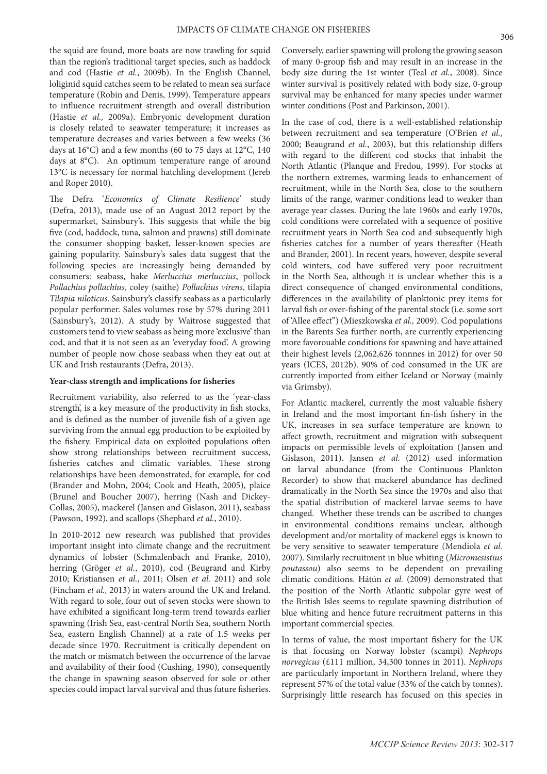the squid are found, more boats are now trawling for squid than the region's traditional target species, such as haddock and cod (Hastie *et al.*, 2009b). In the English Channel, loliginid squid catches seem to be related to mean sea surface temperature (Robin and Denis, 1999). Temperature appears to influence recruitment strength and overall distribution (Hastie *et al.,* 2009a). Embryonic development duration is closely related to seawater temperature; it increases as temperature decreases and varies between a few weeks (36 days at 16°C) and a few months (60 to 75 days at 12°C, 140 days at 8°C). An optimum temperature range of around 13°C is necessary for normal hatchling development (Jereb and Roper 2010).

The Defra '*Economics of Climate Resilience*' study (Defra, 2013), made use of an August 2012 report by the supermarket, Sainsbury's. This suggests that while the big five (cod, haddock, tuna, salmon and prawns) still dominate the consumer shopping basket, lesser-known species are gaining popularity. Sainsbury's sales data suggest that the following species are increasingly being demanded by consumers: seabass, hake *Merluccius merluccius*, pollock *Pollachius pollachius*, coley (saithe) *Pollachius virens*, tilapia *Tilapia niloticus*. Sainsbury's classify seabass as a particularly popular performer. Sales volumes rose by 57% during 2011 (Sainsbury's, 2012). A study by Waitrose suggested that customers tend to view seabass as being more 'exclusive' than cod, and that it is not seen as an 'everyday food'. A growing number of people now chose seabass when they eat out at UK and Irish restaurants (Defra, 2013).

#### **Year-class strength and implications for fisheries**

Recruitment variability, also referred to as the 'year-class strength', is a key measure of the productivity in fish stocks, and is defined as the number of juvenile fish of a given age surviving from the annual egg production to be exploited by the fishery. Empirical data on exploited populations often show strong relationships between recruitment success, fisheries catches and climatic variables. These strong relationships have been demonstrated, for example, for cod (Brander and Mohn, 2004; Cook and Heath, 2005), plaice (Brunel and Boucher 2007), herring (Nash and Dickey-Collas, 2005), mackerel (Jansen and Gislason, 2011), seabass (Pawson, 1992), and scallops (Shephard *et al.*, 2010).

In 2010-2012 new research was published that provides important insight into climate change and the recruitment dynamics of lobster (Schmalenbach and Franke, 2010), herring (Gröger *et al.*, 2010), cod (Beugrand and Kirby 2010; Kristiansen *et al.*, 2011; Olsen *et al.* 2011) and sole (Fincham *et al.,* 2013) in waters around the UK and Ireland. With regard to sole, four out of seven stocks were shown to have exhibited a significant long-term trend towards earlier spawning (Irish Sea, east-central North Sea, southern North Sea, eastern English Channel) at a rate of 1.5 weeks per decade since 1970. Recruitment is critically dependent on the match or mismatch between the occurrence of the larvae and availability of their food (Cushing, 1990), consequently the change in spawning season observed for sole or other species could impact larval survival and thus future fisheries.

Conversely, earlier spawning will prolong the growing season of many 0-group fish and may result in an increase in the body size during the 1st winter (Teal *et al.*, 2008). Since winter survival is positively related with body size, 0-group survival may be enhanced for many species under warmer winter conditions (Post and Parkinson, 2001).

In the case of cod, there is a well-established relationship between recruitment and sea temperature (O'Brien *et al.*, 2000; Beaugrand *et al.*, 2003), but this relationship differs with regard to the different cod stocks that inhabit the North Atlantic (Planque and Fredou, 1999). For stocks at the northern extremes, warming leads to enhancement of recruitment, while in the North Sea, close to the southern limits of the range, warmer conditions lead to weaker than average year classes. During the late 1960s and early 1970s, cold conditions were correlated with a sequence of positive recruitment years in North Sea cod and subsequently high fisheries catches for a number of years thereafter (Heath and Brander, 2001). In recent years, however, despite several cold winters, cod have suffered very poor recruitment in the North Sea, although it is unclear whether this is a direct consequence of changed environmental conditions, differences in the availability of planktonic prey items for larval fish or over-fishing of the parental stock (i.e. some sort of 'Allee effect") (Mieszkowska *et al.,* 2009). Cod populations in the Barents Sea further north, are currently experiencing more favorouable conditions for spawning and have attained their highest levels (2,062,626 tonnnes in 2012) for over 50 years (ICES, 2012b). 90% of cod consumed in the UK are currently imported from either Iceland or Norway (mainly via Grimsby).

For Atlantic mackerel, currently the most valuable fishery in Ireland and the most important fin-fish fishery in the UK, increases in sea surface temperature are known to affect growth, recruitment and migration with subsequent impacts on permissible levels of exploitation (Jansen and Gislason, 2011). Jansen *et al.* (2012) used information on larval abundance (from the Continuous Plankton Recorder) to show that mackerel abundance has declined dramatically in the North Sea since the 1970s and also that the spatial distribution of mackerel larvae seems to have changed. Whether these trends can be ascribed to changes in environmental conditions remains unclear, although development and/or mortality of mackerel eggs is known to be very sensitive to seawater temperature (Mendiola *et al.* 2007). Similarly recruitment in blue whiting (*Micromesistius poutassou*) also seems to be dependent on prevailing climatic conditions. Hátún *et al.* (2009) demonstrated that the position of the North Atlantic subpolar gyre west of the British Isles seems to regulate spawning distribution of blue whiting and hence future recruitment patterns in this important commercial species.

In terms of value, the most important fishery for the UK is that focusing on Norway lobster (scampi) *Nephrops norvegicus* (£111 million, 34,300 tonnes in 2011). *Nephrops*  are particularly important in Northern Ireland, where they represent 57% of the total value (33% of the catch by tonnes). Surprisingly little research has focused on this species in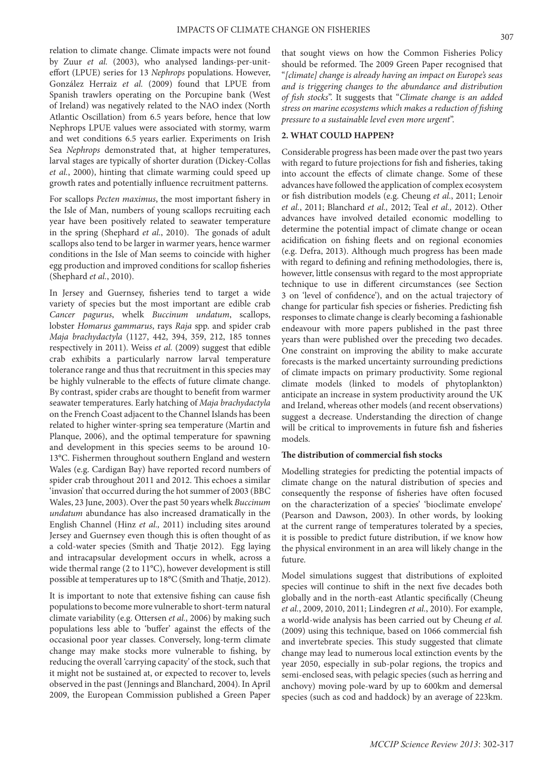relation to climate change. Climate impacts were not found by Zuur *et al.* (2003), who analysed landings-per-uniteffort (LPUE) series for 13 *Nephrops* populations. However, González Herraiz *et al.* (2009) found that LPUE from Spanish trawlers operating on the Porcupine bank (West of Ireland) was negatively related to the NAO index (North Atlantic Oscillation) from 6.5 years before, hence that low Nephrops LPUE values were associated with stormy, warm and wet conditions 6.5 years earlier. Experiments on Irish Sea *Nephrops* demonstrated that, at higher temperatures, larval stages are typically of shorter duration (Dickey-Collas *et al.*, 2000), hinting that climate warming could speed up growth rates and potentially influence recruitment patterns.

For scallops *Pecten maximus*, the most important fishery in the Isle of Man, numbers of young scallops recruiting each year have been positively related to seawater temperature in the spring (Shephard *et al.*, 2010). The gonads of adult scallops also tend to be larger in warmer years, hence warmer conditions in the Isle of Man seems to coincide with higher egg production and improved conditions for scallop fisheries (Shephard *et al.*, 2010).

In Jersey and Guernsey, fisheries tend to target a wide variety of species but the most important are edible crab *Cancer pagurus*, whelk *Buccinum undatum*, scallops, lobster *Homarus gammarus*, rays *Raja* spp. and spider crab *Maja brachydactyla* (1127, 442, 394, 359, 212, 185 tonnes respectively in 2011). Weiss *et al.* (2009) suggest that edible crab exhibits a particularly narrow larval temperature tolerance range and thus that recruitment in this species may be highly vulnerable to the effects of future climate change. By contrast, spider crabs are thought to benefit from warmer seawater temperatures. Early hatching of *Maja brachydactyla*  on the French Coast adjacent to the Channel Islands has been related to higher winter-spring sea temperature (Martin and Planque, 2006), and the optimal temperature for spawning and development in this species seems to be around 10- 13°C. Fishermen throughout southern England and western Wales (e.g. Cardigan Bay) have reported record numbers of spider crab throughout 2011 and 2012. This echoes a similar 'invasion' that occurred during the hot summer of 2003 (BBC Wales, 23 June, 2003). Over the past 50 years whelk *Buccinum undatum* abundance has also increased dramatically in the English Channel (Hinz *et al.,* 2011) including sites around Jersey and Guernsey even though this is often thought of as a cold-water species (Smith and Thatje 2012). Egg laying and intracapsular development occurs in whelk, across a wide thermal range (2 to 11°C), however development is still possible at temperatures up to 18°C (Smith and Thatje, 2012).

It is important to note that extensive fishing can cause fish populations to become more vulnerable to short-term natural climate variability (e.g. Ottersen *et al.,* 2006) by making such populations less able to 'buffer' against the effects of the occasional poor year classes. Conversely, long-term climate change may make stocks more vulnerable to fishing, by reducing the overall 'carrying capacity' of the stock, such that it might not be sustained at, or expected to recover to, levels observed in the past (Jennings and Blanchard, 2004). In April 2009, the European Commission published a Green Paper

that sought views on how the Common Fisheries Policy should be reformed. The 2009 Green Paper recognised that "*[climate] change is already having an impact on Europe's seas and is triggering changes to the abundance and distribution of fish stocks*". It suggests that "*Climate change is an added stress on marine ecosystems which makes a reduction of fishing pressure to a sustainable level even more urgent*".

# **2. WHAT COULD HAPPEN?**

Considerable progress has been made over the past two years with regard to future projections for fish and fisheries, taking into account the effects of climate change. Some of these advances have followed the application of complex ecosystem or fish distribution models (e.g. Cheung *et al.*, 2011; Lenoir *et al.*, 2011; Blanchard *et al.,* 2012; Teal *et al.,* 2012). Other advances have involved detailed economic modelling to determine the potential impact of climate change or ocean acidification on fishing fleets and on regional economies (e.g. Defra, 2013). Although much progress has been made with regard to defining and refining methodologies, there is, however, little consensus with regard to the most appropriate technique to use in different circumstances (see Section 3 on 'level of confidence'), and on the actual trajectory of change for particular fish species or fisheries. Predicting fish responses to climate change is clearly becoming a fashionable endeavour with more papers published in the past three years than were published over the preceding two decades. One constraint on improving the ability to make accurate forecasts is the marked uncertainty surrounding predictions of climate impacts on primary productivity. Some regional climate models (linked to models of phytoplankton) anticipate an increase in system productivity around the UK and Ireland, whereas other models (and recent observations) suggest a decrease. Understanding the direction of change will be critical to improvements in future fish and fisheries models.

#### **The distribution of commercial fish stocks**

Modelling strategies for predicting the potential impacts of climate change on the natural distribution of species and consequently the response of fisheries have often focused on the characterization of a species' 'bioclimate envelope' (Pearson and Dawson, 2003). In other words, by looking at the current range of temperatures tolerated by a species, it is possible to predict future distribution, if we know how the physical environment in an area will likely change in the future.

Model simulations suggest that distributions of exploited species will continue to shift in the next five decades both globally and in the north-east Atlantic specifically (Cheung *et al.*, 2009, 2010, 2011; Lindegren *et al.*, 2010). For example, a world-wide analysis has been carried out by Cheung *et al.* (2009) using this technique, based on 1066 commercial fish and invertebrate species. This study suggested that climate change may lead to numerous local extinction events by the year 2050, especially in sub-polar regions, the tropics and semi-enclosed seas, with pelagic species (such as herring and anchovy) moving pole-ward by up to 600km and demersal species (such as cod and haddock) by an average of 223km.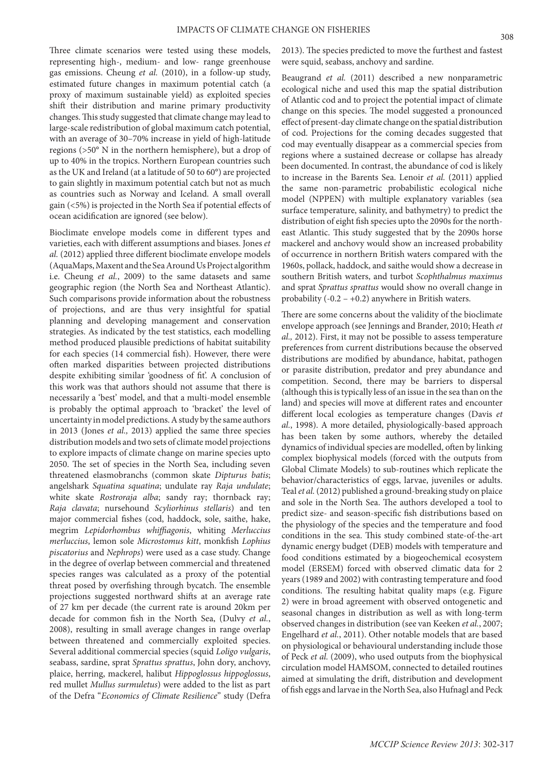Three climate scenarios were tested using these models, representing high-, medium- and low- range greenhouse gas emissions. Cheung *et al.* (2010), in a follow-up study, estimated future changes in maximum potential catch (a proxy of maximum sustainable yield) as exploited species shift their distribution and marine primary productivity changes. This study suggested that climate change may lead to large-scale redistribution of global maximum catch potential, with an average of 30–70% increase in yield of high-latitude regions (>50° N in the northern hemisphere), but a drop of up to 40% in the tropics. Northern European countries such as the UK and Ireland (at a latitude of 50 to 60°) are projected to gain slightly in maximum potential catch but not as much as countries such as Norway and Iceland. A small overall gain (<5%) is projected in the North Sea if potential effects of ocean acidification are ignored (see below).

Bioclimate envelope models come in different types and varieties, each with different assumptions and biases. Jones *et al.* (2012) applied three different bioclimate envelope models (AquaMaps, Maxent and the Sea Around Us Project algorithm i.e. Cheung *et al.*, 2009) to the same datasets and same geographic region (the North Sea and Northeast Atlantic). Such comparisons provide information about the robustness of projections, and are thus very insightful for spatial planning and developing management and conservation strategies. As indicated by the test statistics, each modelling method produced plausible predictions of habitat suitability for each species (14 commercial fish). However, there were often marked disparities between projected distributions despite exhibiting similar 'goodness of fit'. A conclusion of this work was that authors should not assume that there is necessarily a 'best' model, and that a multi-model ensemble is probably the optimal approach to 'bracket' the level of uncertainty in model predictions. A study by the same authors in 2013 (Jones *et al.,* 2013) applied the same three species distribution models and two sets of climate model projections to explore impacts of climate change on marine species upto 2050. The set of species in the North Sea, including seven threatened elasmobranchs (common skate *Dipturus batis*; angelshark *Squatina squatina*; undulate ray *Raja undulate*; white skate *Rostroraja alba*; sandy ray; thornback ray; *Raja clavata*; nursehound *Scyliorhinus stellaris*) and ten major commercial fishes (cod, haddock, sole, saithe, hake, megrim *Lepidorhombus whiffiagonis*, whiting *Merluccius merluccius*, lemon sole *Microstomus kitt*, monkfish *Lophius piscatorius* and *Nephrops*) were used as a case study. Change in the degree of overlap between commercial and threatened species ranges was calculated as a proxy of the potential threat posed by overfishing through bycatch. The ensemble projections suggested northward shifts at an average rate of 27 km per decade (the current rate is around 20km per decade for common fish in the North Sea, (Dulvy *et al.*, 2008), resulting in small average changes in range overlap between threatened and commercially exploited species. Several additional commercial species (squid *Loligo vulgaris*, seabass, sardine, sprat *Sprattus sprattus*, John dory, anchovy, plaice, herring, mackerel, halibut *Hippoglossus hippoglossus*, red mullet *Mullus surmuletus*) were added to the list as part of the Defra "*Economics of Climate Resilience*" study (Defra

2013). The species predicted to move the furthest and fastest were squid, seabass, anchovy and sardine.

Beaugrand *et al.* (2011) described a new nonparametric ecological niche and used this map the spatial distribution of Atlantic cod and to project the potential impact of climate change on this species. The model suggested a pronounced effect of present-day climate change on the spatial distribution of cod. Projections for the coming decades suggested that cod may eventually disappear as a commercial species from regions where a sustained decrease or collapse has already been documented. In contrast, the abundance of cod is likely to increase in the Barents Sea. Lenoir *et al.* (2011) applied the same non-parametric probabilistic ecological niche model (NPPEN) with multiple explanatory variables (sea surface temperature, salinity, and bathymetry) to predict the distribution of eight fish species upto the 2090s for the northeast Atlantic. This study suggested that by the 2090s horse mackerel and anchovy would show an increased probability of occurrence in northern British waters compared with the 1960s, pollack, haddock, and saithe would show a decrease in southern British waters, and turbot *Scophthalmus maximus*  and sprat *Sprattus sprattus* would show no overall change in probability  $(-0.2 - +0.2)$  anywhere in British waters.

There are some concerns about the validity of the bioclimate envelope approach (see Jennings and Brander, 2010; Heath *et al.,* 2012). First, it may not be possible to assess temperature preferences from current distributions because the observed distributions are modified by abundance, habitat, pathogen or parasite distribution, predator and prey abundance and competition. Second, there may be barriers to dispersal (although this is typically less of an issue in the sea than on the land) and species will move at different rates and encounter different local ecologies as temperature changes (Davis *et al.*, 1998). A more detailed, physiologically-based approach has been taken by some authors, whereby the detailed dynamics of individual species are modelled, often by linking complex biophysical models (forced with the outputs from Global Climate Models) to sub-routines which replicate the behavior/characteristics of eggs, larvae, juveniles or adults. Teal *et al.* (2012) published a ground-breaking study on plaice and sole in the North Sea. The authors developed a tool to predict size- and season-specific fish distributions based on the physiology of the species and the temperature and food conditions in the sea. This study combined state-of-the-art dynamic energy budget (DEB) models with temperature and food conditions estimated by a biogeochemical ecosystem model (ERSEM) forced with observed climatic data for 2 years (1989 and 2002) with contrasting temperature and food conditions. The resulting habitat quality maps (e.g. Figure 2) were in broad agreement with observed ontogenetic and seasonal changes in distribution as well as with long-term observed changes in distribution (see van Keeken *et al.*, 2007; Engelhard *et al.*, 2011). Other notable models that are based on physiological or behavioural understanding include those of Peck *et al.* (2009), who used outputs from the biophysical circulation model HAMSOM, connected to detailed routines aimed at simulating the drift, distribution and development of fish eggs and larvae in the North Sea, also Hufnagl and Peck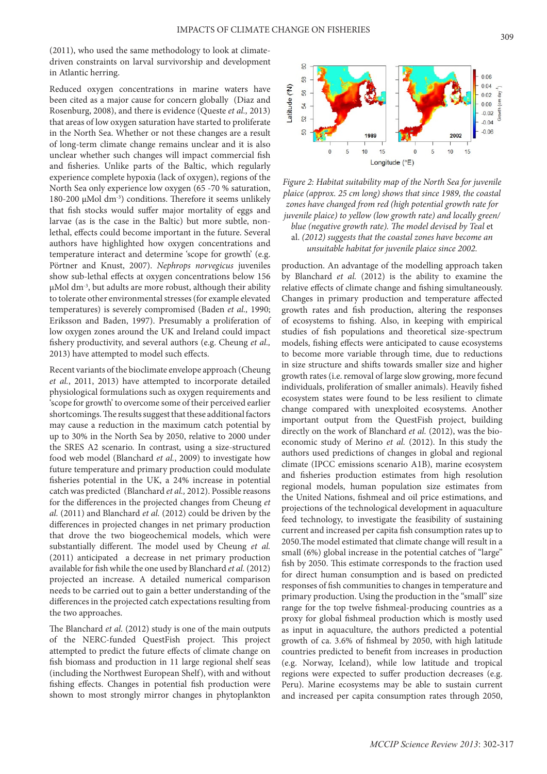(2011), who used the same methodology to look at climatedriven constraints on larval survivorship and development in Atlantic herring.

Reduced oxygen concentrations in marine waters have been cited as a major cause for concern globally (Diaz and Rosenburg, 2008), and there is evidence (Queste *et al.,* 2013) that areas of low oxygen saturation have started to proliferate in the North Sea. Whether or not these changes are a result of long-term climate change remains unclear and it is also unclear whether such changes will impact commercial fish and fisheries. Unlike parts of the Baltic, which regularly experience complete hypoxia (lack of oxygen), regions of the North Sea only experience low oxygen (65 -70 % saturation, 180-200 μMol dm-3) conditions. Therefore it seems unlikely that fish stocks would suffer major mortality of eggs and larvae (as is the case in the Baltic) but more subtle, nonlethal, effects could become important in the future. Several authors have highlighted how oxygen concentrations and temperature interact and determine 'scope for growth' (e.g. Pörtner and Knust, 2007). *Nephrops norvegicus* juveniles show sub-lethal effects at oxygen concentrations below 156 μMol dm-3, but adults are more robust, although their ability to tolerate other environmental stresses (for example elevated temperatures) is severely compromised (Baden *et al.,* 1990; Eriksson and Baden, 1997). Presumably a proliferation of low oxygen zones around the UK and Ireland could impact fishery productivity, and several authors (e.g. Cheung *et al.,* 2013) have attempted to model such effects.

Recent variants of the bioclimate envelope approach (Cheung *et al.*, 2011, 2013) have attempted to incorporate detailed physiological formulations such as oxygen requirements and 'scope for growth' to overcome some of their perceived earlier shortcomings. The results suggest that these additional factors may cause a reduction in the maximum catch potential by up to 30% in the North Sea by 2050, relative to 2000 under the SRES A2 scenario. In contrast, using a size-structured food web model (Blanchard *et al.*, 2009) to investigate how future temperature and primary production could modulate fisheries potential in the UK, a 24% increase in potential catch was predicted (Blanchard *et al.,* 2012). Possible reasons for the differences in the projected changes from Cheung *et al.* (2011) and Blanchard *et al.* (2012) could be driven by the differences in projected changes in net primary production that drove the two biogeochemical models, which were substantially different. The model used by Cheung *et al.* (2011) anticipated a decrease in net primary production available for fish while the one used by Blanchard *et al.* (2012) projected an increase. A detailed numerical comparison needs to be carried out to gain a better understanding of the differences in the projected catch expectations resulting from the two approaches.

The Blanchard *et al.* (2012) study is one of the main outputs of the NERC-funded QuestFish project. This project attempted to predict the future effects of climate change on fish biomass and production in 11 large regional shelf seas (including the Northwest European Shelf), with and without fishing effects. Changes in potential fish production were shown to most strongly mirror changes in phytoplankton



*Figure 2: Habitat suitability map of the North Sea for juvenile plaice (approx. 25 cm long) shows that since 1989, the coastal zones have changed from red (high potential growth rate for juvenile plaice) to yellow (low growth rate) and locally green/ blue (negative growth rate). The model devised by Teal* et al. *(2012) suggests that the coastal zones have become an unsuitable habitat for juvenile plaice since 2002.*

production. An advantage of the modelling approach taken by Blanchard *et al.* (2012) is the ability to examine the relative effects of climate change and fishing simultaneously. Changes in primary production and temperature affected growth rates and fish production, altering the responses of ecosystems to fishing. Also, in keeping with empirical studies of fish populations and theoretical size-spectrum models, fishing effects were anticipated to cause ecosystems to become more variable through time, due to reductions in size structure and shifts towards smaller size and higher growth rates (i.e. removal of large slow growing, more fecund individuals, proliferation of smaller animals). Heavily fished ecosystem states were found to be less resilient to climate change compared with unexploited ecosystems. Another important output from the QuestFish project, building directly on the work of Blanchard *et al.* (2012), was the bioeconomic study of Merino *et al.* (2012). In this study the authors used predictions of changes in global and regional climate (IPCC emissions scenario A1B), marine ecosystem and fisheries production estimates from high resolution regional models, human population size estimates from the United Nations, fishmeal and oil price estimations, and projections of the technological development in aquaculture feed technology, to investigate the feasibility of sustaining current and increased per capita fish consumption rates up to 2050.The model estimated that climate change will result in a small (6%) global increase in the potential catches of "large" fish by 2050. This estimate corresponds to the fraction used for direct human consumption and is based on predicted responses of fish communities to changes in temperature and primary production. Using the production in the "small" size range for the top twelve fishmeal-producing countries as a proxy for global fishmeal production which is mostly used as input in aquaculture, the authors predicted a potential growth of ca. 3.6% of fishmeal by 2050, with high latitude countries predicted to benefit from increases in production (e.g. Norway, Iceland), while low latitude and tropical regions were expected to suffer production decreases (e.g. Peru). Marine ecosystems may be able to sustain current and increased per capita consumption rates through 2050,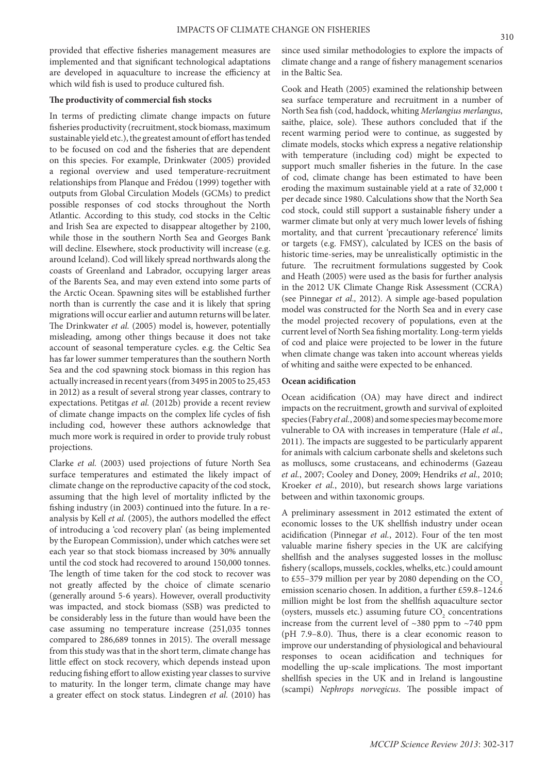provided that effective fisheries management measures are implemented and that significant technological adaptations are developed in aquaculture to increase the efficiency at which wild fish is used to produce cultured fish.

# **The productivity of commercial fish stocks**

In terms of predicting climate change impacts on future fisheries productivity (recruitment, stock biomass, maximum sustainable yield etc.), the greatest amount of effort has tended to be focused on cod and the fisheries that are dependent on this species. For example, Drinkwater (2005) provided a regional overview and used temperature-recruitment relationships from Planque and Frédou (1999) together with outputs from Global Circulation Models (GCMs) to predict possible responses of cod stocks throughout the North Atlantic. According to this study, cod stocks in the Celtic and Irish Sea are expected to disappear altogether by 2100, while those in the southern North Sea and Georges Bank will decline. Elsewhere, stock productivity will increase (e.g. around Iceland). Cod will likely spread northwards along the coasts of Greenland and Labrador, occupying larger areas of the Barents Sea, and may even extend into some parts of the Arctic Ocean. Spawning sites will be established further north than is currently the case and it is likely that spring migrations will occur earlier and autumn returns will be later. The Drinkwater *et al.* (2005) model is, however, potentially misleading, among other things because it does not take account of seasonal temperature cycles. e.g. the Celtic Sea has far lower summer temperatures than the southern North Sea and the cod spawning stock biomass in this region has actually increased in recent years (from 3495 in 2005 to 25,453 in 2012) as a result of several strong year classes, contrary to expectations. Petitgas *et al.* (2012b) provide a recent review of climate change impacts on the complex life cycles of fish including cod, however these authors acknowledge that much more work is required in order to provide truly robust projections.

Clarke *et al.* (2003) used projections of future North Sea surface temperatures and estimated the likely impact of climate change on the reproductive capacity of the cod stock, assuming that the high level of mortality inflicted by the fishing industry (in 2003) continued into the future. In a reanalysis by Kell *et al.* (2005), the authors modelled the effect of introducing a 'cod recovery plan' (as being implemented by the European Commission), under which catches were set each year so that stock biomass increased by 30% annually until the cod stock had recovered to around 150,000 tonnes. The length of time taken for the cod stock to recover was not greatly affected by the choice of climate scenario (generally around 5-6 years). However, overall productivity was impacted, and stock biomass (SSB) was predicted to be considerably less in the future than would have been the case assuming no temperature increase (251,035 tonnes compared to 286,689 tonnes in 2015). The overall message from this study was that in the short term, climate change has little effect on stock recovery, which depends instead upon reducing fishing effort to allow existing year classes to survive to maturity. In the longer term, climate change may have a greater effect on stock status. Lindegren *et al.* (2010) has

since used similar methodologies to explore the impacts of climate change and a range of fishery management scenarios in the Baltic Sea.

Cook and Heath (2005) examined the relationship between sea surface temperature and recruitment in a number of North Sea fish (cod, haddock, whiting *Merlangius merlangus*, saithe, plaice, sole). These authors concluded that if the recent warming period were to continue, as suggested by climate models, stocks which express a negative relationship with temperature (including cod) might be expected to support much smaller fisheries in the future. In the case of cod, climate change has been estimated to have been eroding the maximum sustainable yield at a rate of 32,000 t per decade since 1980. Calculations show that the North Sea cod stock, could still support a sustainable fishery under a warmer climate but only at very much lower levels of fishing mortality, and that current 'precautionary reference' limits or targets (e.g. FMSY), calculated by ICES on the basis of historic time-series, may be unrealistically optimistic in the future. The recruitment formulations suggested by Cook and Heath (2005) were used as the basis for further analysis in the 2012 UK Climate Change Risk Assessment (CCRA) (see Pinnegar *et al.,* 2012). A simple age-based population model was constructed for the North Sea and in every case the model projected recovery of populations, even at the current level of North Sea fishing mortality. Long-term yields of cod and plaice were projected to be lower in the future when climate change was taken into account whereas yields of whiting and saithe were expected to be enhanced.

## **Ocean acidification**

Ocean acidification (OA) may have direct and indirect impacts on the recruitment, growth and survival of exploited species (Fabry *et al.*, 2008) and some species may become more vulnerable to OA with increases in temperature (Hale *et al.*, 2011). The impacts are suggested to be particularly apparent for animals with calcium carbonate shells and skeletons such as molluscs, some crustaceans, and echinoderms (Gazeau *et al.*, 2007; Cooley and Doney, 2009; Hendriks *et al.,* 2010; Kroeker *et al.*, 2010), but research shows large variations between and within taxonomic groups.

A preliminary assessment in 2012 estimated the extent of economic losses to the UK shellfish industry under ocean acidification (Pinnegar *et al.*, 2012). Four of the ten most valuable marine fishery species in the UK are calcifying shellfish and the analyses suggested losses in the mollusc fishery (scallops, mussels, cockles, whelks, etc.) could amount to  $£55-379$  million per year by 2080 depending on the  $CO<sub>2</sub>$ emission scenario chosen. In addition, a further £59.8–124.6 million might be lost from the shellfish aquaculture sector (oysters, mussels etc.) assuming future  $\mathrm{CO}_2$  concentrations increase from the current level of ~380 ppm to ~740 ppm (pH 7.9–8.0). Thus, there is a clear economic reason to improve our understanding of physiological and behavioural responses to ocean acidification and techniques for modelling the up-scale implications. The most important shellfish species in the UK and in Ireland is langoustine (scampi) *Nephrops norvegicus*. The possible impact of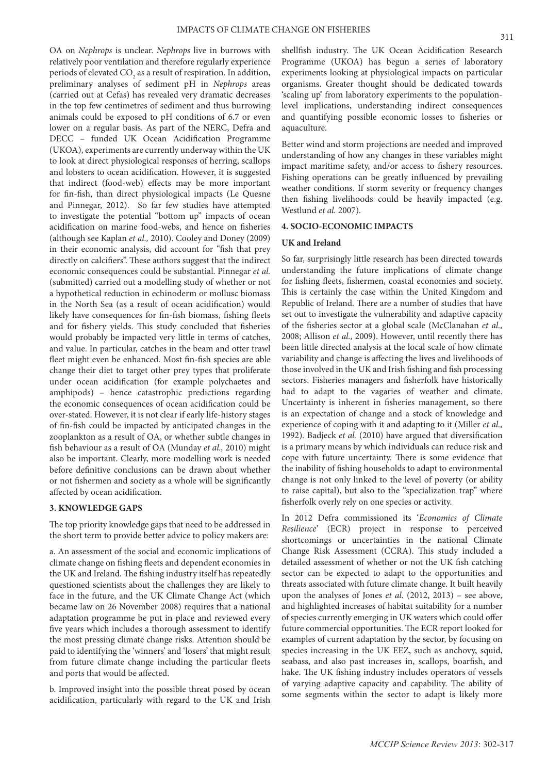OA on *Nephrops* is unclear. *Nephrops* live in burrows with relatively poor ventilation and therefore regularly experience periods of elevated CO<sub>2</sub> as a result of respiration. In addition, preliminary analyses of sediment pH in *Nephrops* areas (carried out at Cefas) has revealed very dramatic decreases in the top few centimetres of sediment and thus burrowing animals could be exposed to pH conditions of 6.7 or even lower on a regular basis. As part of the NERC, Defra and DECC – funded UK Ocean Acidification Programme (UKOA), experiments are currently underway within the UK to look at direct physiological responses of herring, scallops and lobsters to ocean acidification. However, it is suggested that indirect (food-web) effects may be more important for fin-fish, than direct physiological impacts (Le Quesne and Pinnegar, 2012). So far few studies have attempted to investigate the potential "bottom up" impacts of ocean acidification on marine food-webs, and hence on fisheries (although see Kaplan *et al.,* 2010). Cooley and Doney (2009) in their economic analysis, did account for "fish that prey directly on calcifiers". These authors suggest that the indirect economic consequences could be substantial. Pinnegar *et al.* (submitted) carried out a modelling study of whether or not a hypothetical reduction in echinoderm or mollusc biomass in the North Sea (as a result of ocean acidification) would likely have consequences for fin-fish biomass, fishing fleets and for fishery yields. This study concluded that fisheries would probably be impacted very little in terms of catches, and value. In particular, catches in the beam and otter trawl fleet might even be enhanced. Most fin-fish species are able change their diet to target other prey types that proliferate under ocean acidification (for example polychaetes and amphipods) – hence catastrophic predictions regarding the economic consequences of ocean acidification could be over-stated. However, it is not clear if early life-history stages of fin-fish could be impacted by anticipated changes in the zooplankton as a result of OA, or whether subtle changes in fish behaviour as a result of OA (Munday *et al.,* 2010) might also be important. Clearly, more modelling work is needed before definitive conclusions can be drawn about whether or not fishermen and society as a whole will be significantly affected by ocean acidification.

# **3. KNOWLEDGE GAPS**

The top priority knowledge gaps that need to be addressed in the short term to provide better advice to policy makers are:

a. An assessment of the social and economic implications of climate change on fishing fleets and dependent economies in the UK and Ireland. The fishing industry itself has repeatedly questioned scientists about the challenges they are likely to face in the future, and the UK Climate Change Act (which became law on 26 November 2008) requires that a national adaptation programme be put in place and reviewed every five years which includes a thorough assessment to identify the most pressing climate change risks. Attention should be paid to identifying the 'winners' and 'losers' that might result from future climate change including the particular fleets and ports that would be affected.

b. Improved insight into the possible threat posed by ocean acidification, particularly with regard to the UK and Irish

shellfish industry. The UK Ocean Acidification Research Programme (UKOA) has begun a series of laboratory experiments looking at physiological impacts on particular organisms. Greater thought should be dedicated towards 'scaling up' from laboratory experiments to the populationlevel implications, understanding indirect consequences and quantifying possible economic losses to fisheries or aquaculture.

Better wind and storm projections are needed and improved understanding of how any changes in these variables might impact maritime safety, and/or access to fishery resources. Fishing operations can be greatly influenced by prevailing weather conditions. If storm severity or frequency changes then fishing livelihoods could be heavily impacted (e.g. Westlund *et al.* 2007).

# **4. SOCIO-ECONOMIC IMPACTS**

#### **UK and Ireland**

So far, surprisingly little research has been directed towards understanding the future implications of climate change for fishing fleets, fishermen, coastal economies and society. This is certainly the case within the United Kingdom and Republic of Ireland. There are a number of studies that have set out to investigate the vulnerability and adaptive capacity of the fisheries sector at a global scale (McClanahan *et al.,* 2008; Allison *et al.,* 2009). However, until recently there has been little directed analysis at the local scale of how climate variability and change is affecting the lives and livelihoods of those involved in the UK and Irish fishing and fish processing sectors. Fisheries managers and fisherfolk have historically had to adapt to the vagaries of weather and climate. Uncertainty is inherent in fisheries management, so there is an expectation of change and a stock of knowledge and experience of coping with it and adapting to it (Miller *et al.,* 1992). Badjeck *et al.* (2010) have argued that diversification is a primary means by which individuals can reduce risk and cope with future uncertainty. There is some evidence that the inability of fishing households to adapt to environmental change is not only linked to the level of poverty (or ability to raise capital), but also to the "specialization trap" where fisherfolk overly rely on one species or activity.

In 2012 Defra commissioned its '*Economics of Climate Resilience*' (ECR) project in response to perceived shortcomings or uncertainties in the national Climate Change Risk Assessment (CCRA). This study included a detailed assessment of whether or not the UK fish catching sector can be expected to adapt to the opportunities and threats associated with future climate change. It built heavily upon the analyses of Jones *et al.* (2012, 2013) – see above, and highlighted increases of habitat suitability for a number of species currently emerging in UK waters which could offer future commercial opportunities. The ECR report looked for examples of current adaptation by the sector, by focusing on species increasing in the UK EEZ, such as anchovy, squid, seabass, and also past increases in, scallops, boarfish, and hake. The UK fishing industry includes operators of vessels of varying adaptive capacity and capability. The ability of some segments within the sector to adapt is likely more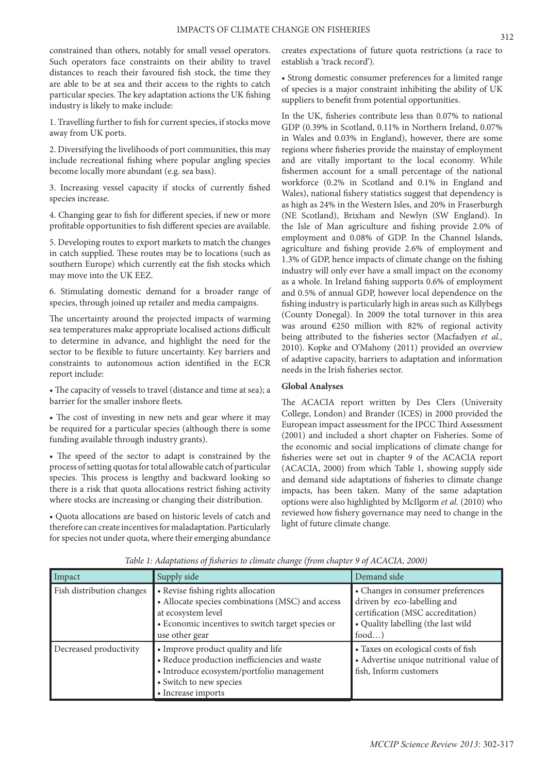constrained than others, notably for small vessel operators. Such operators face constraints on their ability to travel distances to reach their favoured fish stock, the time they are able to be at sea and their access to the rights to catch particular species. The key adaptation actions the UK fishing industry is likely to make include:

1. Travelling further to fish for current species, if stocks move away from UK ports.

2. Diversifying the livelihoods of port communities, this may include recreational fishing where popular angling species become locally more abundant (e.g. sea bass).

3. Increasing vessel capacity if stocks of currently fished species increase.

4. Changing gear to fish for different species, if new or more profitable opportunities to fish different species are available.

5. Developing routes to export markets to match the changes in catch supplied. These routes may be to locations (such as southern Europe) which currently eat the fish stocks which may move into the UK EEZ.

6. Stimulating domestic demand for a broader range of species, through joined up retailer and media campaigns.

The uncertainty around the projected impacts of warming sea temperatures make appropriate localised actions difficult to determine in advance, and highlight the need for the sector to be flexible to future uncertainty. Key barriers and constraints to autonomous action identified in the ECR report include:

• The capacity of vessels to travel (distance and time at sea); a barrier for the smaller inshore fleets.

• The cost of investing in new nets and gear where it may be required for a particular species (although there is some funding available through industry grants).

• The speed of the sector to adapt is constrained by the process of setting quotas for total allowable catch of particular species. This process is lengthy and backward looking so there is a risk that quota allocations restrict fishing activity where stocks are increasing or changing their distribution.

• Quota allocations are based on historic levels of catch and therefore can create incentives for maladaptation. Particularly for species not under quota, where their emerging abundance creates expectations of future quota restrictions (a race to establish a 'track record').

• Strong domestic consumer preferences for a limited range of species is a major constraint inhibiting the ability of UK suppliers to benefit from potential opportunities.

In the UK, fisheries contribute less than 0.07% to national GDP (0.39% in Scotland, 0.11% in Northern Ireland, 0.07% in Wales and 0.03% in England), however, there are some regions where fisheries provide the mainstay of employment and are vitally important to the local economy. While fishermen account for a small percentage of the national workforce (0.2% in Scotland and 0.1% in England and Wales), national fishery statistics suggest that dependency is as high as 24% in the Western Isles, and 20% in Fraserburgh (NE Scotland), Brixham and Newlyn (SW England). In the Isle of Man agriculture and fishing provide 2.0% of employment and 0.08% of GDP. In the Channel Islands, agriculture and fishing provide 2.6% of employment and 1.3% of GDP, hence impacts of climate change on the fishing industry will only ever have a small impact on the economy as a whole. In Ireland fishing supports 0.6% of employment and 0.5% of annual GDP, however local dependence on the fishing industry is particularly high in areas such as Killybegs (County Donegal). In 2009 the total turnover in this area was around €250 million with 82% of regional activity being attributed to the fisheries sector (Macfadyen *et al.,* 2010). Kopke and O'Mahony (2011) provided an overview of adaptive capacity, barriers to adaptation and information needs in the Irish fisheries sector.

# **Global Analyses**

The ACACIA report written by Des Clers (University College, London) and Brander (ICES) in 2000 provided the European impact assessment for the IPCC Third Assessment (2001) and included a short chapter on Fisheries. Some of the economic and social implications of climate change for fisheries were set out in chapter 9 of the ACACIA report (ACACIA, 2000) from which Table 1, showing supply side and demand side adaptations of fisheries to climate change impacts, has been taken. Many of the same adaptation options were also highlighted by McIlgorm *et al.* (2010) who reviewed how fishery governance may need to change in the light of future climate change.

| Impact                    | Supply side                                                                                                                                                                         | Demand side                                                                                                                                          |
|---------------------------|-------------------------------------------------------------------------------------------------------------------------------------------------------------------------------------|------------------------------------------------------------------------------------------------------------------------------------------------------|
| Fish distribution changes | • Revise fishing rights allocation<br>• Allocate species combinations (MSC) and access<br>at ecosystem level<br>• Economic incentives to switch target species or<br>use other gear | • Changes in consumer preferences<br>driven by eco-labelling and<br>certification (MSC accreditation)<br>• Quality labelling (the last wild<br>food) |
| Decreased productivity    | • Improve product quality and life<br>• Reduce production inefficiencies and waste<br>· Introduce ecosystem/portfolio management<br>• Switch to new species<br>• Increase imports   | • Taxes on ecological costs of fish<br>• Advertise unique nutritional value of<br>fish, Inform customers                                             |

*Table 1: Adaptations of fisheries to climate change (from chapter 9 of ACACIA, 2000)*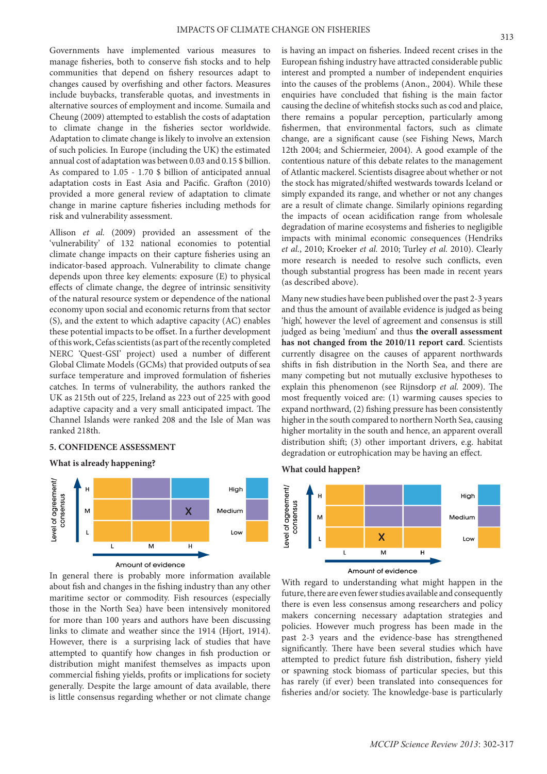Governments have implemented various measures to manage fisheries, both to conserve fish stocks and to help communities that depend on fishery resources adapt to changes caused by overfishing and other factors. Measures include buybacks, transferable quotas, and investments in alternative sources of employment and income. Sumaila and Cheung (2009) attempted to establish the costs of adaptation to climate change in the fisheries sector worldwide. Adaptation to climate change is likely to involve an extension of such policies. In Europe (including the UK) the estimated annual cost of adaptation was between 0.03 and 0.15 \$ billion. As compared to 1.05 - 1.70 \$ billion of anticipated annual adaptation costs in East Asia and Pacific. Grafton (2010) provided a more general review of adaptation to climate change in marine capture fisheries including methods for risk and vulnerability assessment.

Allison *et al.* (2009) provided an assessment of the 'vulnerability' of 132 national economies to potential climate change impacts on their capture fisheries using an indicator-based approach. Vulnerability to climate change depends upon three key elements: exposure (E) to physical effects of climate change, the degree of intrinsic sensitivity of the natural resource system or dependence of the national economy upon social and economic returns from that sector (S), and the extent to which adaptive capacity (AC) enables these potential impacts to be offset. In a further development of this work, Cefas scientists (as part of the recently completed NERC 'Quest-GSI' project) used a number of different Global Climate Models (GCMs) that provided outputs of sea surface temperature and improved formulation of fisheries catches. In terms of vulnerability, the authors ranked the UK as 215th out of 225, Ireland as 223 out of 225 with good adaptive capacity and a very small anticipated impact. The Channel Islands were ranked 208 and the Isle of Man was ranked 218th.

## **5. CONFIDENCE ASSESSMENT**

#### **What is already happening?**



In general there is probably more information available about fish and changes in the fishing industry than any other maritime sector or commodity. Fish resources (especially those in the North Sea) have been intensively monitored for more than 100 years and authors have been discussing links to climate and weather since the 1914 (Hjort, 1914). However, there is a surprising lack of studies that have attempted to quantify how changes in fish production or distribution might manifest themselves as impacts upon commercial fishing yields, profits or implications for society generally. Despite the large amount of data available, there is little consensus regarding whether or not climate change

is having an impact on fisheries. Indeed recent crises in the European fishing industry have attracted considerable public interest and prompted a number of independent enquiries into the causes of the problems (Anon., 2004). While these enquiries have concluded that fishing is the main factor causing the decline of whitefish stocks such as cod and plaice, there remains a popular perception, particularly among fishermen, that environmental factors, such as climate change, are a significant cause (see Fishing News, March 12th 2004; and Schiermeier, 2004). A good example of the contentious nature of this debate relates to the management of Atlantic mackerel. Scientists disagree about whether or not the stock has migrated/shifted westwards towards Iceland or simply expanded its range, and whether or not any changes are a result of climate change. Similarly opinions regarding the impacts of ocean acidification range from wholesale degradation of marine ecosystems and fisheries to negligible impacts with minimal economic consequences (Hendriks *et al.*, 2010; Kroeker *et al.* 2010; Turley *et al.* 2010). Clearly more research is needed to resolve such conflicts, even though substantial progress has been made in recent years (as described above).

Many new studies have been published over the past 2-3 years and thus the amount of available evidence is judged as being 'high', however the level of agreement and consensus is still judged as being 'medium' and thus **the overall assessment has not changed from the 2010/11 report card**. Scientists currently disagree on the causes of apparent northwards shifts in fish distribution in the North Sea, and there are many competing but not mutually exclusive hypotheses to explain this phenomenon (see Rijnsdorp *et al.* 2009). The most frequently voiced are: (1) warming causes species to expand northward, (2) fishing pressure has been consistently higher in the south compared to northern North Sea, causing higher mortality in the south and hence, an apparent overall distribution shift; (3) other important drivers, e.g. habitat degradation or eutrophication may be having an effect.

## **What could happen?**



With regard to understanding what might happen in the future, there are even fewer studies available and consequently there is even less consensus among researchers and policy makers concerning necessary adaptation strategies and policies. However much progress has been made in the past 2-3 years and the evidence-base has strengthened significantly. There have been several studies which have attempted to predict future fish distribution, fishery yield or spawning stock biomass of particular species, but this has rarely (if ever) been translated into consequences for fisheries and/or society. The knowledge-base is particularly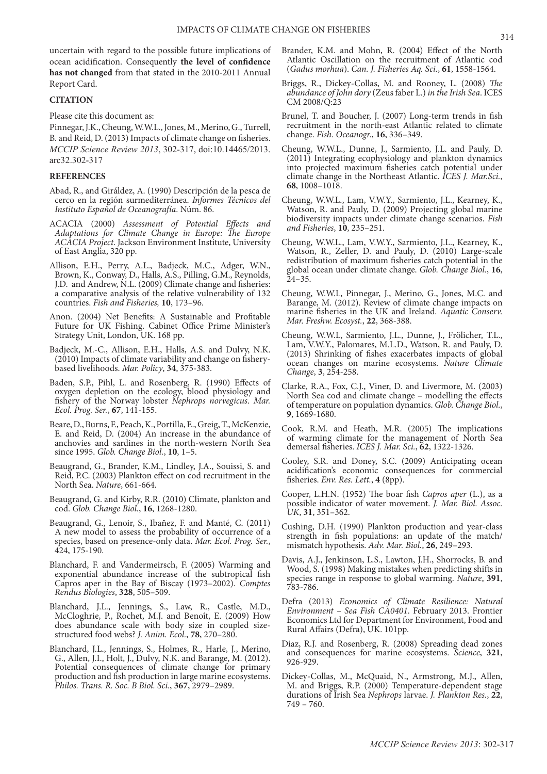uncertain with regard to the possible future implications of ocean acidification. Consequently **the level of confidence has not changed** from that stated in the 2010-2011 Annual Report Card.

## **CITATION**

Please cite this document as:

Pinnegar, J.K., Cheung, W.W.L., Jones, M., Merino, G., Turrell, B. and Reid, D. (2013) Impacts of climate change on fisheries. *MCCIP Science Review 2013*, 302-317, doi:10.14465/2013. arc32.302-317

#### **REFERENCES**

- Abad, R., and Giráldez, A. (1990) Descripción de la pesca de cerco en la región surmediterránea. *Informes Técnicos del Instituto Español de Oceanografía*. Núm. 86.
- ACACIA (2000) *Assessment of Potential Effects and Adaptations for Climate Change in Europe: The Europe ACACIA Project*. Jackson Environment Institute, University of East Anglia, 320 pp.
- Allison, E.H., Perry, A.L., Badjeck, M.C., Adger, W.N., Brown, K., Conway, D., Halls, A.S., Pilling, G.M., Reynolds, J.D. and Andrew, N.L. (2009) Climate change and fisheries: a comparative analysis of the relative vulnerability of 132 countries. *Fish and Fisheries,* **10**, 173–96.
- Anon. (2004) Net Benefits: A Sustainable and Profitable Future for UK Fishing. Cabinet Office Prime Minister's Strategy Unit, London, UK. 168 pp.
- Badjeck, M.-C., Allison, E.H., Halls, A.S. and Dulvy, N.K. (2010) Impacts of climate variability and change on fisherybased livelihoods. *Mar. Policy*, **34**, 375-383.
- Baden, S.P., Pihl, L. and Rosenberg, R. (1990) Effects of oxygen depletion on the ecology, blood physiology and fishery of the Norway lobster *Nephrops norvegicus*. *Mar. Ecol. Prog. Ser.*, **67**, 141-155.
- Beare, D., Burns, F., Peach, K., Portilla, E., Greig, T., McKenzie, E. and Reid, D. (2004) An increase in the abundance of anchovies and sardines in the north-western North Sea since 1995. *Glob. Change Biol.*, **10**, 1–5.
- Beaugrand, G., Brander, K.M., Lindley, J.A., Souissi, S. and Reid, P.C. (2003) Plankton effect on cod recruitment in the North Sea. *Nature*, 661-664.
- Beaugrand, G. and Kirby, R.R. (2010) Climate, plankton and cod. *Glob. Change Biol.*, **16**, 1268-1280.
- Beaugrand, G., Lenoir, S., Ibañez, F. and Manté, C. (2011) A new model to assess the probability of occurrence of a species, based on presence-only data. *Mar. Ecol. Prog. Ser.*, 424, 175-190.
- Blanchard, F. and Vandermeirsch, F. (2005) Warming and exponential abundance increase of the subtropical fish Capros aper in the Bay of Biscay (1973–2002). *Comptes Rendus Biologies*, **328**, 505–509.
- Blanchard, J.L., Jennings, S., Law, R., Castle, M.D., McCloghrie, P., Rochet, M.J. and Benoît, E. (2009) How does abundance scale with body size in coupled sizestructured food webs? *J. Anim. Ecol.*, **78**, 270–280.
- Blanchard, J.L., Jennings, S., Holmes, R., Harle, J., Merino, G., Allen, J.I., Holt, J., Dulvy, N.K. and Barange, M. (2012). Potential consequences of climate change for primary production and fish production in large marine ecosystems. *Philos. Trans. R. Soc. B Biol. Sci.*, **367**, 2979–2989.
- Brander, K.M. and Mohn, R. (2004) Effect of the North Atlantic Oscillation on the recruitment of Atlantic cod (*Gadus morhua*). *Can. J. Fisheries Aq. Sci.*, **61**, 1558-1564.
- Briggs, R., Dickey‐Collas, M. and Rooney, L. (2008) *The abundance of John dory* (Zeus faber L.) *in the Irish Sea*. ICES CM 2008/Q:23
- Brunel, T. and Boucher, J. (2007) Long-term trends in fish recruitment in the north-east Atlantic related to climate change. *Fish. Oceanogr.*, **16**, 336–349.
- Cheung, W.W.L., Dunne, J., Sarmiento, J.L. and Pauly, D. (2011) Integrating ecophysiology and plankton dynamics into projected maximum fisheries catch potential under climate change in the Northeast Atlantic. *ICES J. Mar.Sci.*, **68**, 1008–1018.
- Cheung, W.W.L., Lam, V.W.Y., Sarmiento, J.L., Kearney, K., Watson, R. and Pauly, D. (2009) Projecting global marine biodiversity impacts under climate change scenarios. *Fish and Fisheries*, **10**, 235–251.
- Cheung, W.W.L., Lam, V.W.Y., Sarmiento, J.L., Kearney, K., Watson, R., Zeller, D. and Pauly, D. (2010) Large-scale redistribution of maximum fisheries catch potential in the global ocean under climate change. *Glob. Change Biol.*, **16**,  $24 - 35$
- Cheung, W.W.L, Pinnegar, J., Merino, G., Jones, M.C. and Barange, M. (2012). Review of climate change impacts on marine fisheries in the UK and Ireland. *Aquatic Conserv. Mar. Freshw. Ecosyst.*, **22**, 368-388.
- Cheung, W.W.L, Sarmiento, J.L., Dunne, J., Frölicher, T.L., Lam, V.W.Y., Palomares, M.L.D., Watson, R. and Pauly, D. (2013) Shrinking of fishes exacerbates impacts of global ocean changes on marine ecosystems. *Nature Climate Change*, **3**, 254-258.
- Clarke, R.A., Fox, C.J., Viner, D. and Livermore, M. (2003) North Sea cod and climate change – modelling the effects of temperature on population dynamics. *Glob. Change Biol.*, **9**, 1669-1680.
- Cook, R.M. and Heath, M.R. (2005) The implications of warming climate for the management of North Sea demersal fisheries. *ICES J. Mar. Sci.*, **62**, 1322-1326.
- Cooley, S.R. and Doney, S.C. (2009) Anticipating ocean acidification's economic consequences for commercial fisheries. *Env. Res. Lett.*, **4** (8pp).
- Cooper, L.H.N. (1952) The boar fish *Capros aper* (L.), as a possible indicator of water movement. *J. Mar. Biol. Assoc. UK*, **31**, 351–362.
- Cushing, D.H. (1990) Plankton production and year-class strength in fish populations: an update of the match/ mismatch hypothesis. *Adv. Mar. Biol.*, **26**, 249–293.
- Davis, A.J., Jenkinson, L.S., Lawton, J.H., Shorrocks, B. and Wood, S. (1998) Making mistakes when predicting shifts in species range in response to global warming. *Nature*, **391**, 783-786.
- Defra (2013) *Economics of Climate Resilience: Natural Environment – Sea Fish CA0401*. February 2013. Frontier Economics Ltd for Department for Environment, Food and Rural Affairs (Defra), UK. 101pp.
- Diaz, R.J. and Rosenberg, R. (2008) Spreading dead zones and consequences for marine ecosystems. *Science*, **321**, 926-929.
- Dickey‐Collas, M., McQuaid, N., Armstrong, M.J., Allen, M. and Briggs, R.P. (2000) Temperature‐dependent stage durations of Irish Sea *Nephrops* larvae. *J. Plankton Res.*, **22**, 749 – 760.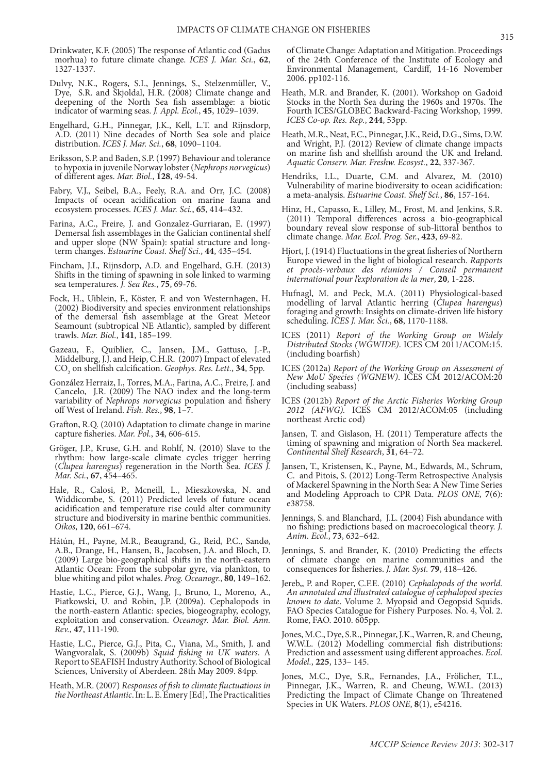- Drinkwater, K.F. (2005) The response of Atlantic cod (Gadus morhua) to future climate change. *ICES J. Mar. Sci.*, **<sup>62</sup>**, 1327-1337.
- Dulvy, N.K., Rogers, S.I., Jennings, S., Stelzenmüller, V., Dye, S.R. and Skjoldal, H.R. (2008) Climate change and deepening of the North Sea fish assemblage: a biotic indicator of warming seas. *J. Appl. Ecol.*, **45**, 1029–1039.
- Engelhard, G.H., Pinnegar, J.K., Kell, L.T. and Rijnsdorp, A.D. (2011) Nine decades of North Sea sole and plaice distribution. *ICES J. Mar. Sci.*, **68**, 1090–1104.
- Eriksson, S.P. and Baden, S.P. (1997) Behaviour and tolerance to hypoxia in juvenile Norway lobster (*Nephrops norvegicus*) of different ages. *Mar. Biol.*, **128**, 49-54.
- Fabry, V.J., Seibel, B.A., Feely, R.A. and Orr, J.C. (2008) Impacts of ocean acidification on marine fauna and ecosystem processes. *ICES J. Mar. Sci.*, **65**, 414–432.
- Farina, A.C., Freire, J. and Gonzalez-Gurriaran, E. (1997) Demersal fish assemblages in the Galician continental shelf and upper slope (NW Spain): spatial structure and longterm changes. *Estuarine Coast. Shelf Sci.*, **44**, 435–454.
- Fincham, J.I., Rijnsdorp, A.D. and Engelhard, G.H. (2013) Shifts in the timing of spawning in sole linked to warming sea temperatures. *J. Sea Res.*, **75**, 69-76.
- Fock, H., Uiblein, F., Köster, F. and von Westernhagen, H. (2002) Biodiversity and species environment relationships of the demersal fish assemblage at the Great Meteor Seamount (subtropical NE Atlantic), sampled by different trawls. *Mar. Biol.*, **141**, 185–199.
- Gazeau, F., Quiblier, C., Jansen, J.M., Gattuso, J.-P. Middelburg, J.J. and Heip, C.H.R. (2007) Impact of elevated CO2 on shellfish calcification. *Geophys. Res. Lett.*, **34**, 5pp.
- González Herraiz, I., Torres, M.A., Farina, A.C., Freire, J. and Cancelo, J.R. (2009) The NAO index and the long-term variability of *Nephrops norvegicus* population and fishery off West of Ireland. *Fish. Res.*, **98**, 1–7.
- Grafton, R.Q. (2010) Adaptation to climate change in marine capture fisheries. *Mar. Pol.*, **34**, 606-615.
- Gröger, J.P., Kruse, G.H. and Rohlf, N. (2010) Slave to the rhythm: how large-scale climate cycles trigger herring (*Clupea harengus*) regeneration in the North Sea. *ICES J. Mar. Sci.*, **67**, 454–465.
- Hale, R., Calosi, P., Mcneill, L., Mieszkowska, N. and Widdicombe, S. (2011) Predicted levels of future ocean acidification and temperature rise could alter community structure and biodiversity in marine benthic communities. *Oikos*, **120**, 661–674.
- Hátún, H., Payne, M.R., Beaugrand, G., Reid, P.C., Sandø, A.B., Drange, H., Hansen, B., Jacobsen, J.A. and Bloch, D. (2009) Large bio-geographical shifts in the north-eastern Atlantic Ocean: From the subpolar gyre, via plankton, to blue whiting and pilot whales. *Prog. Oceanogr.*, **80**, 149–162.
- Hastie, L.C., Pierce, G.J., Wang, J., Bruno, I., Moreno, A., Piatkowski, U. and Robin, J.P. (2009a). Cephalopods in the north-eastern Atlantic: species, biogeography, ecology, exploitation and conservation. *Oceanogr. Mar. Biol. Ann. Rev.*, **47**, 111-190.
- Hastie, L.C., Pierce, G.J., Pita, C., Viana, M., Smith, J. and Wangvoralak, S. (2009b) *Squid fishing in UK waters*. A Report to SEAFISH Industry Authority. School of Biological Sciences, University of Aberdeen. 28th May 2009. 84pp.
- Heath, M.R. (2007) *Responses of fish to climate fluctuations in the Northeast Atlantic*. In: L. E. Emery [Ed], The Practicalities

of Climate Change: Adaptation and Mitigation. Proceedings of the 24th Conference of the Institute of Ecology and Environmental Management, Cardiff, 14-16 November 2006. pp102-116.

- Heath, M.R. and Brander, K. (2001). Workshop on Gadoid Stocks in the North Sea during the 1960s and 1970s. The Fourth ICES/GLOBEC Backward-Facing Workshop, 1999. *ICES Co-op. Res. Rep.*, **244**, 53pp.
- Heath, M.R., Neat, F.C., Pinnegar, J.K., Reid, D.G., Sims, D.W. and Wright, P.J. (2012) Review of climate change impacts on marine fish and shellfish around the UK and Ireland. *Aquatic Conserv. Mar. Freshw. Ecosyst.*, **22**, 337-367.
- Hendriks, I.L., Duarte, C.M. and Alvarez, M. (2010) Vulnerability of marine biodiversity to ocean acidification: a meta-analysis. *Estuarine Coast. Shelf Sci.*, **86**, 157-164.
- Hinz, H., Capasso, E., Lilley, M., Frost, M. and Jenkins, S.R. (2011) Temporal differences across a bio-geographical boundary reveal slow response of sub-littoral benthos to climate change. *Mar. Ecol. Prog. Ser.*, **423**, 69-82.
- Hjort, J. (1914) Fluctuations in the great fisheries of Northern Europe viewed in the light of biological research. *Rapports et procès-verbaux des réunions / Conseil permanent international pour l'exploration de la mer*, **20**, 1-228.
- Hufnagl, M. and Peck, M.A. (2011) Physiological-based modelling of larval Atlantic herring (*Clupea harengus*) foraging and growth: Insights on climate-driven life history scheduling. *ICES J. Mar. Sci.*, **68**, 1170-1188.
- ICES (2011) *Report of the Working Group on Widely Distributed Stocks (WGWIDE)*. ICES CM 2011/ACOM:15. (including boarfish)
- ICES (2012a) *Report of the Working Group on Assessment of New MoU Species (WGNEW)*. ICES CM 2012/ACOM:20 (including seabass)
- ICES (2012b) *Report of the Arctic Fisheries Working Group 2012 (AFWG).* ICES CM 2012/ACOM:05 (including northeast Arctic cod)
- Jansen, T. and Gislason, H. (2011) Temperature affects the timing of spawning and migration of North Sea mackerel. *Continental Shelf Research*, **31**, 64–72.
- Jansen, T., Kristensen, K., Payne, M., Edwards, M., Schrum, C. and Pitois, S. (2012) Long-Term Retrospective Analysis of Mackerel Spawning in the North Sea: A New Time Series and Modeling Approach to CPR Data. *PLOS ONE*, **7**(6): e38758.
- Jennings, S. and Blanchard, J.L. (2004) Fish abundance with no fishing: predictions based on macroecological theory. *J. Anim. Ecol.*, **73**, 632–642.
- Jennings, S. and Brander, K. (2010) Predicting the effects of climate change on marine communities and the consequences for fisheries. *J. Mar. Syst.* **79**, 418–426.
- Jereb,, P. and Roper, C.F.E. (2010) *Cephalopods of the world. An annotated and illustrated catalogue of cephalopod species known to date*. Volume 2. Myopsid and Oegopsid Squids. FAO Species Catalogue for Fishery Purposes. No. 4, Vol. 2. Rome, FAO. 2010. 605pp.
- Jones, M.C., Dye, S.R., Pinnegar, J.K., Warren, R. and Cheung, W.W.L. (2012) Modelling commercial fish distributions: Prediction and assessment using different approaches. *Ecol. Model.*, **225**, 133– 145.
- Jones, M.C., Dye, S.R,, Fernandes, J.A., Frölicher, T.L., Pinnegar, J.K., Warren, R. and Cheung, W.W.L. (2013) Predicting the Impact of Climate Change on Threatened Species in UK Waters. *PLOS ONE*, **8**(1), e54216.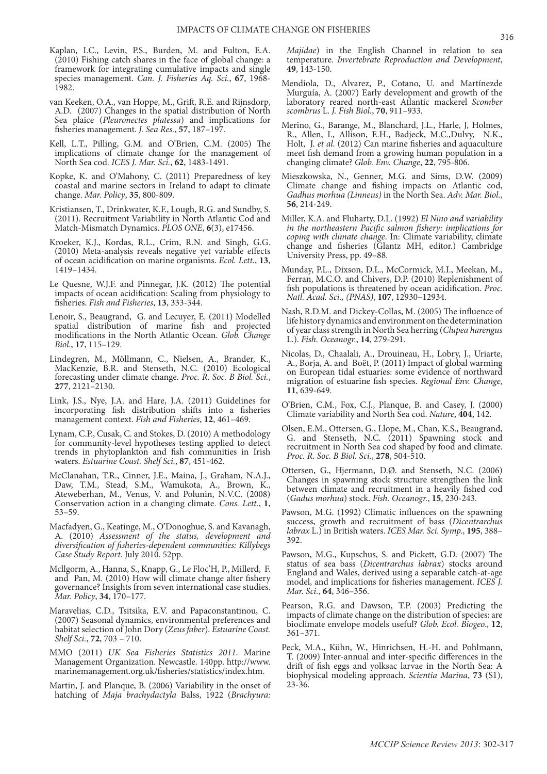- Kaplan, I.C., Levin, P.S., Burden, M. and Fulton, E.A. (2010) Fishing catch shares in the face of global change: a framework for integrating cumulative impacts and single species management. *Can. J. Fisheries Aq. Sci.*, **67**, 1968- 1982.
- van Keeken, O.A., van Hoppe, M., Grift, R.E. and Rijnsdorp, A.D. (2007) Changes in the spatial distribution of North Sea plaice (*Pleuronectes platessa*) and implications for fisheries management. *J. Sea Res.*, **57**, 187–197.
- Kell, L.T., Pilling, G.M. and O'Brien, C.M. (2005) The implications of climate change for the management of North Sea cod. *ICES J. Mar. Sci.*, **62**, 1483-1491.
- Kopke, K. and O'Mahony, C. (2011) Preparedness of key coastal and marine sectors in Ireland to adapt to climate change. *Mar. Policy*, **35**, 800-809.
- Kristiansen, T., Drinkwater, K.F., Lough, R.G. and Sundby, S. (2011). Recruitment Variability in North Atlantic Cod and Match-Mismatch Dynamics. *PLOS ONE*, **6**(3), e17456.
- Kroeker, K.J., Kordas, R.L., Crim, R.N. and Singh, G.G. (2010) Meta-analysis reveals negative yet variable effects of ocean acidification on marine organisms. *Ecol. Lett.*, **13**, 1419–1434.
- Le Quesne, W.J.F. and Pinnegar, J.K. (2012) The potential impacts of ocean acidification: Scaling from physiology to fisheries. *Fish and Fisheries*, **13**, 333-344.
- Lenoir, S., Beaugrand, G. and Lecuyer, E. (2011) Modelled spatial distribution of marine fish and projected modifications in the North Atlantic Ocean. *Glob. Change Biol.*, **17**, 115–129.
- Lindegren, M., Möllmann, C., Nielsen, A., Brander, K., MacKenzie, B.R. and Stenseth, N.C. (2010) Ecological forecasting under climate change. *Proc. R. Soc. B Biol. Sci.*, **277**, 2121–2130.
- Link, J.S., Nye, J.A. and Hare, J.A. (2011) Guidelines for incorporating fish distribution shifts into a fisheries management context. *Fish and Fisheries*, **12**, 461–469.
- Lynam, C.P., Cusak, C. and Stokes, D. (2010) A methodology for community-level hypotheses testing applied to detect trends in phytoplankton and fish communities in Irish waters. *Estuarine Coast. Shelf Sci.*, **87**, 451-462.
- McClanahan, T.R., Cinner, J.E., Maina, J., Graham, N.A.J., Daw, T.M., Stead, S.M., Wamukota, A., Brown, K., Ateweberhan, M., Venus, V. and Polunin, N.V.C. (2008) Conservation action in a changing climate. *Cons. Lett.*, **1**, 53–59.
- Macfadyen, G., Keatinge, M., O'Donoghue, S. and Kavanagh, A. (2010) *Assessment of the status, development and diversification of fisheries-dependent communities: Killybegs Case Study Report*. July 2010. 52pp.
- Mcllgorm, A., Hanna, S., Knapp, G., Le Floc'H, P., Millerd, F. and Pan, M. (2010) How will climate change alter fishery governance? Insights from seven international case studies. *Mar. Policy*, **34**, 170–177.
- Maravelias, C.D., Tsitsika, E.V. and Papaconstantinou, C. (2007) Seasonal dynamics, environmental preferences and habitat selection of John Dory (*Zeus faber*). *Estuarine Coast. Shelf Sci.*, **72**, 703 – 710.
- MMO (2011) *UK Sea Fisheries Statistics 2011*. Marine Management Organization. Newcastle. 140pp. http://www. marinemanagement.org.uk/fisheries/statistics/index.htm.
- Martin, J. and Planque, B. (2006) Variability in the onset of hatching of *Maja brachydactyla* Balss, 1922 (*Brachyura:*

*Majidae*) in the English Channel in relation to sea temperature. *Invertebrate Reproduction and Development*, **49**, 143-150.

- Mendiola, D., Alvarez, P., Cotano, U. and Martínezde Murguía, A. (2007) Early development and growth of the laboratory reared north-east Atlantic mackerel *Scomber scombrus* L. *J. Fish Biol.*, **70**, 911–933.
- Merino, G., Barange, M., Blanchard, J.L., Harle, J, Holmes, R., Allen, I., Allison, E.H., Badjeck, M.C.,Dulvy, N.K., Holt, J. *et al*. (2012) Can marine fisheries and aquaculture meet fish demand from a growing human population in a changing climate? *Glob. Env. Change*, **22**, 795-806.
- Mieszkowska, N., Genner, M.G. and Sims, D.W. (2009) Climate change and fishing impacts on Atlantic cod, *Gadhus morhua (Linneus)* in the North Sea. *Adv. Mar. Biol.*, **56**, 214-249.
- Miller, K.A. and Fluharty, D.L. (1992) *El Nino and variability in the northeastern Pacific salmon fishery: implications for coping with climate change*. In: Climate variability, climate change and fisheries (Glantz MH, editor.) Cambridge University Press, pp. 49–88.
- Munday, P.L., Dixson, D.L., McCormick, M.I., Meekan, M., Ferran, M.C.O. and Chivers, D.P. (2010) Replenishment of fish populations is threatened by ocean acidification. *Proc. Natl. Acad. Sci., (PNAS)*, **107**, 12930–12934.
- Nash, R.D.M. and Dickey-Collas, M. (2005) The influence of life history dynamics and environment on the determination of year class strength in North Sea herring (*Clupea harengus* L.). *Fish. Oceanogr.*, **14**, 279-291.
- Nicolas, D., Chaalali, A., Drouineau, H., Lobry, J., Uriarte, A., Borja, A. and Boët, P. (2011) Impact of global warming on European tidal estuaries: some evidence of northward migration of estuarine fish species. *Regional Env. Change*, **11**, 639-649.
- O'Brien, C.M., Fox, C.J., Planque, B. and Casey, J. (2000) Climate variability and North Sea cod. *Nature*, **404**, 142.
- Olsen, E.M., Ottersen, G., Llope, M., Chan, K.S., Beaugrand, G. and Stenseth, N.C. (2011) Spawning stock and recruitment in North Sea cod shaped by food and climate. *Proc. R. Soc. B Biol. Sci.*, **278**, 504-510.
- Ottersen, G., Hjermann, D.Ø. and Stenseth, N.C. (2006) Changes in spawning stock structure strengthen the link between climate and recruitment in a heavily fished cod (*Gadus morhua*) stock. *Fish. Oceanogr.*, **15**, 230-243.
- Pawson, M.G. (1992) Climatic influences on the spawning success, growth and recruitment of bass (*Dicentrarchus labrax* L.) in British waters. *ICES Mar. Sci. Symp.*, **195**, 388– 392.
- Pawson, M.G., Kupschus, S. and Pickett, G.D. (2007) The status of sea bass (*Dicentrarchus labrax*) stocks around England and Wales, derived using a separable catch-at-age model, and implications for fisheries management. *ICES J. Mar. Sci.*, **64**, 346–356.
- Pearson, R.G. and Dawson, T.P. (2003) Predicting the impacts of climate change on the distribution of species: are bioclimate envelope models useful? *Glob. Ecol. Biogeo.*, **12**, 361–371.
- Peck, M.A., Kühn, W., Hinrichsen, H.-H. and Pohlmann, T. (2009) Inter-annual and inter-specific differences in the drift of fish eggs and yolksac larvae in the North Sea: A biophysical modeling approach. *Scientia Marina*, **73** (S1), 23-36.